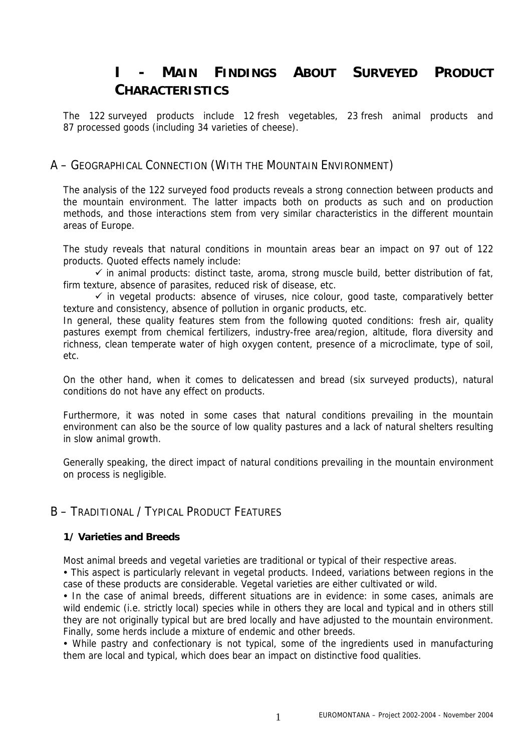# **I - MAIN FINDINGS ABOUT SURVEYED PRODUCT CHARACTERISTICS**

The 122 surveyed products include 12 fresh vegetables, 23 fresh animal products and 87 processed goods (including 34 varieties of cheese).

## A – GEOGRAPHICAL CONNECTION (WITH THE MOUNTAIN ENVIRONMENT)

The analysis of the 122 surveyed food products reveals a strong connection between products and the mountain environment. The latter impacts both on products as such and on production methods, and those interactions stem from very similar characteristics in the different mountain areas of Europe.

The study reveals that natural conditions in mountain areas bear an impact on 97 out of 122 products. Quoted effects namely include:

 $\checkmark$  in animal products: distinct taste, aroma, strong muscle build, better distribution of fat, firm texture, absence of parasites, reduced risk of disease, etc.

 $\checkmark$  in vegetal products: absence of viruses, nice colour, good taste, comparatively better texture and consistency, absence of pollution in organic products, etc.

In general, these quality features stem from the following quoted conditions: fresh air, quality pastures exempt from chemical fertilizers, industry-free area/region, altitude, flora diversity and richness, clean temperate water of high oxygen content, presence of a microclimate, type of soil, etc.

On the other hand, when it comes to delicatessen and bread (six surveyed products), natural conditions do not have any effect on products.

Furthermore, it was noted in some cases that natural conditions prevailing in the mountain environment can also be the source of low quality pastures and a lack of natural shelters resulting in slow animal growth.

Generally speaking, the direct impact of natural conditions prevailing in the mountain environment on process is negligible.

# B – TRADITIONAL / TYPICAL PRODUCT FEATURES

#### **1/ Varieties and Breeds**

Most animal breeds and vegetal varieties are traditional or typical of their respective areas.

• This aspect is particularly relevant in vegetal products. Indeed, variations between regions in the case of these products are considerable. Vegetal varieties are either cultivated or wild.

• In the case of animal breeds, different situations are in evidence: in some cases, animals are wild endemic (i.e. strictly local) species while in others they are local and typical and in others still they are not originally typical but are bred locally and have adjusted to the mountain environment. Finally, some herds include a mixture of endemic and other breeds.

• While pastry and confectionary is not typical, some of the ingredients used in manufacturing them are local and typical, which does bear an impact on distinctive food qualities.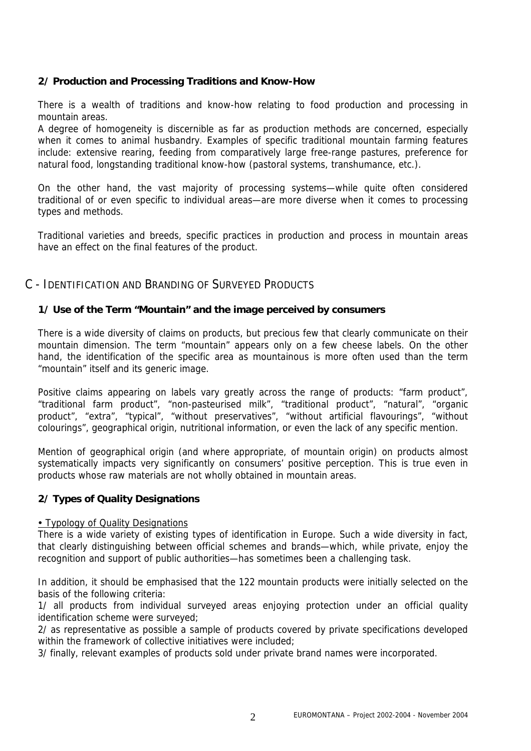## **2/ Production and Processing Traditions and Know-How**

There is a wealth of traditions and know-how relating to food production and processing in mountain areas.

A degree of homogeneity is discernible as far as production methods are concerned, especially when it comes to animal husbandry. Examples of specific traditional mountain farming features include: extensive rearing, feeding from comparatively large free-range pastures, preference for natural food, longstanding traditional know-how (pastoral systems, transhumance, etc.).

On the other hand, the vast majority of processing systems—while quite often considered traditional of or even specific to individual areas—are more diverse when it comes to processing types and methods.

Traditional varieties and breeds, specific practices in production and process in mountain areas have an effect on the final features of the product.

## C - IDENTIFICATION AND BRANDING OF SURVEYED PRODUCTS

#### **1/ Use of the Term "Mountain" and the image perceived by consumers**

There is a wide diversity of claims on products, but precious few that clearly communicate on their mountain dimension. The term "mountain" appears only on a few cheese labels. On the other hand, the identification of the specific area as mountainous is more often used than the term "mountain" itself and its generic image.

Positive claims appearing on labels vary greatly across the range of products: "farm product", "traditional farm product", "non-pasteurised milk", "traditional product", "natural", "organic product", "extra", "typical", "without preservatives", "without artificial flavourings", "without colourings", geographical origin, nutritional information, or even the lack of any specific mention.

Mention of geographical origin (and where appropriate, of mountain origin) on products almost systematically impacts very significantly on consumers' positive perception. This is true even in products whose raw materials are not wholly obtained in mountain areas.

#### **2/ Types of Quality Designations**

#### • Typology of Quality Designations

There is a wide variety of existing types of identification in Europe. Such a wide diversity in fact, that clearly distinguishing between official schemes and brands—which, while private, enjoy the recognition and support of public authorities—has sometimes been a challenging task.

In addition, it should be emphasised that the 122 mountain products were initially selected on the basis of the following criteria:

1/ all products from individual surveyed areas enjoying protection under an official quality identification scheme were surveyed;

2/ as representative as possible a sample of products covered by private specifications developed within the framework of collective initiatives were included:

3/ finally, relevant examples of products sold under private brand names were incorporated.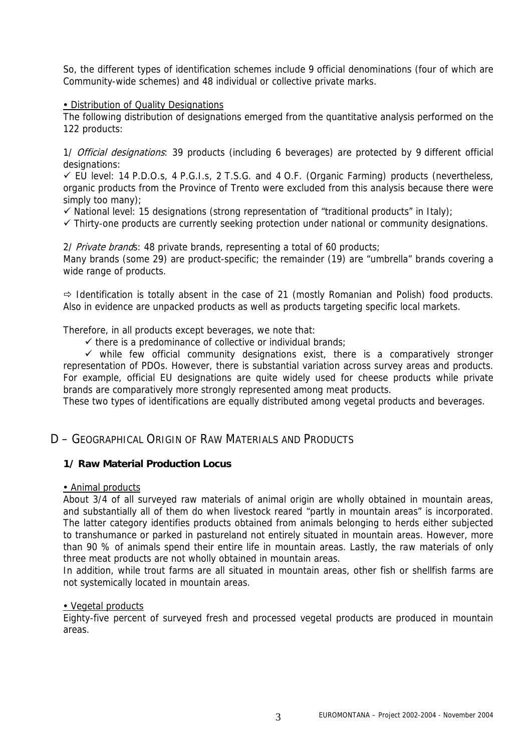So, the different types of identification schemes include 9 official denominations (four of which are Community-wide schemes) and 48 individual or collective private marks.

#### • Distribution of Quality Designations

The following distribution of designations emerged from the quantitative analysis performed on the 122 products:

1/ Official designations: 39 products (including 6 beverages) are protected by 9 different official designations:

 $\checkmark$  EU level: 14 P.D.O.s, 4 P.G.I.s, 2 T.S.G. and 4 O.F. (Organic Farming) products (nevertheless, organic products from the Province of Trento were excluded from this analysis because there were simply too many);

 $\checkmark$  National level: 15 designations (strong representation of "traditional products" in Italy);

 $\checkmark$  Thirty-one products are currently seeking protection under national or community designations.

2/ Private brands: 48 private brands, representing a total of 60 products;

Many brands (some 29) are product-specific; the remainder (19) are "umbrella" brands covering a wide range of products.

 $\Rightarrow$  Identification is totally absent in the case of 21 (mostly Romanian and Polish) food products. Also in evidence are unpacked products as well as products targeting specific local markets.

Therefore, in all products except beverages, we note that:

 $\checkmark$  there is a predominance of collective or individual brands;

 $\checkmark$  while few official community designations exist, there is a comparatively stronger representation of PDOs. However, there is substantial variation across survey areas and products. For example, official EU designations are quite widely used for cheese products while private brands are comparatively more strongly represented among meat products.

These two types of identifications are equally distributed among vegetal products and beverages.

## D – GEOGRAPHICAL ORIGIN OF RAW MATERIALS AND PRODUCTS

#### **1/ Raw Material Production Locus**

#### • Animal products

About 3/4 of all surveyed raw materials of animal origin are wholly obtained in mountain areas, and substantially all of them do when livestock reared "partly in mountain areas" is incorporated. The latter category identifies products obtained from animals belonging to herds either subjected to transhumance or parked in pastureland not entirely situated in mountain areas. However, more than 90 % of animals spend their entire life in mountain areas. Lastly, the raw materials of only three meat products are not wholly obtained in mountain areas.

In addition, while trout farms are all situated in mountain areas, other fish or shellfish farms are not systemically located in mountain areas.

#### • Vegetal products

Eighty-five percent of surveyed fresh and processed vegetal products are produced in mountain areas.